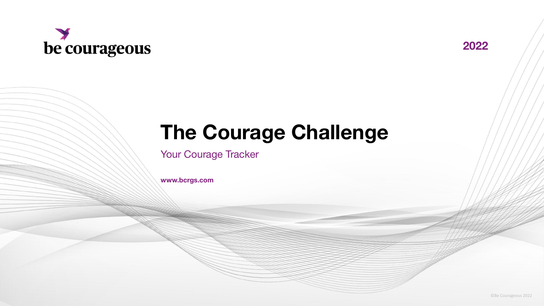



## **The Courage Challenge**

Your Courage Tracker

**www.bcrgs.com**